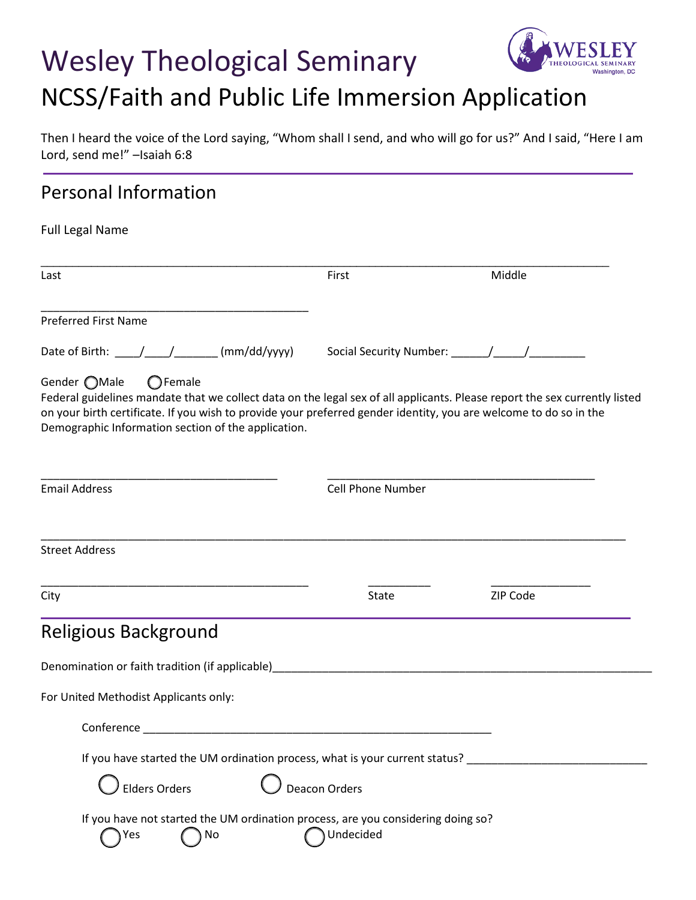# Wesley Theological Seminary NCSS/Faith and Public Life Immersion Application



#### Then I heard the voice of the Lord saying, "Whom shall I send, and who will go for us?" And I said, "Here I am Lord, send me!" –Isaiah 6:8

## Personal Information

| Last                                                                                                                                                                                                                                                                                                                                        | First                    | Middle   |  |  |
|---------------------------------------------------------------------------------------------------------------------------------------------------------------------------------------------------------------------------------------------------------------------------------------------------------------------------------------------|--------------------------|----------|--|--|
| <b>Preferred First Name</b>                                                                                                                                                                                                                                                                                                                 |                          |          |  |  |
| Date of Birth: $\frac{1}{\sqrt{1-\frac{1}{2}} \cdot 1}$ (mm/dd/yyyy)                                                                                                                                                                                                                                                                        |                          |          |  |  |
| Gender ◯Male<br>$\bigcirc$ Female<br>Federal guidelines mandate that we collect data on the legal sex of all applicants. Please report the sex currently listed<br>on your birth certificate. If you wish to provide your preferred gender identity, you are welcome to do so in the<br>Demographic Information section of the application. |                          |          |  |  |
| <b>Email Address</b>                                                                                                                                                                                                                                                                                                                        | <b>Cell Phone Number</b> |          |  |  |
| <b>Street Address</b>                                                                                                                                                                                                                                                                                                                       |                          |          |  |  |
| City                                                                                                                                                                                                                                                                                                                                        | <b>State</b>             | ZIP Code |  |  |
| <b>Religious Background</b>                                                                                                                                                                                                                                                                                                                 |                          |          |  |  |
|                                                                                                                                                                                                                                                                                                                                             |                          |          |  |  |
|                                                                                                                                                                                                                                                                                                                                             |                          |          |  |  |
|                                                                                                                                                                                                                                                                                                                                             |                          |          |  |  |
| Conference                                                                                                                                                                                                                                                                                                                                  |                          |          |  |  |
| If you have started the UM ordination process, what is your current status?                                                                                                                                                                                                                                                                 |                          |          |  |  |
| For United Methodist Applicants only:<br><b>Elders Orders</b>                                                                                                                                                                                                                                                                               | Deacon Orders            |          |  |  |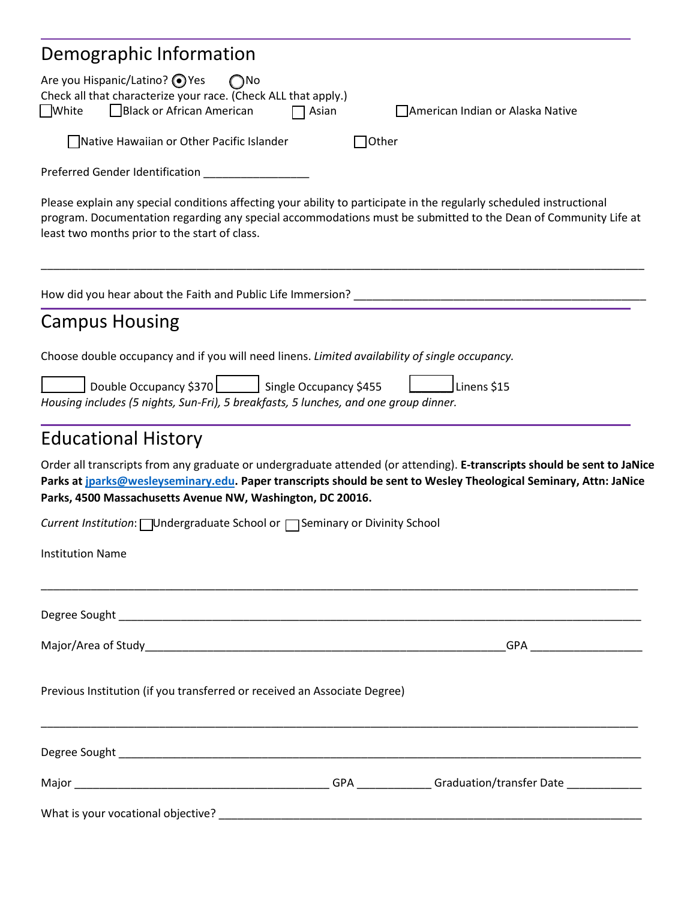| Demographic Information                                                                                                                         |                       |                 |                                                                                                                                                                                                                                               |
|-------------------------------------------------------------------------------------------------------------------------------------------------|-----------------------|-----------------|-----------------------------------------------------------------------------------------------------------------------------------------------------------------------------------------------------------------------------------------------|
| Are you Hispanic/Latino? ● Yes<br>Check all that characterize your race. (Check ALL that apply.)<br>Black or African American<br><b>U</b> White | $\bigcap$ No<br>Asian |                 | American Indian or Alaska Native                                                                                                                                                                                                              |
| Native Hawaiian or Other Pacific Islander                                                                                                       |                       | $\bigcap$ Other |                                                                                                                                                                                                                                               |
|                                                                                                                                                 |                       |                 |                                                                                                                                                                                                                                               |
| least two months prior to the start of class.                                                                                                   |                       |                 | Please explain any special conditions affecting your ability to participate in the regularly scheduled instructional<br>program. Documentation regarding any special accommodations must be submitted to the Dean of Community Life at        |
| How did you hear about the Faith and Public Life Immersion? ____________________                                                                |                       |                 |                                                                                                                                                                                                                                               |
| <b>Campus Housing</b>                                                                                                                           |                       |                 |                                                                                                                                                                                                                                               |
| Choose double occupancy and if you will need linens. Limited availability of single occupancy.                                                  |                       |                 |                                                                                                                                                                                                                                               |
| Double Occupancy \$370 Single Occupancy \$455<br>Housing includes (5 nights, Sun-Fri), 5 breakfasts, 5 lunches, and one group dinner.           |                       |                 | Linens \$15                                                                                                                                                                                                                                   |
| <b>Educational History</b>                                                                                                                      |                       |                 |                                                                                                                                                                                                                                               |
| Parks, 4500 Massachusetts Avenue NW, Washington, DC 20016.                                                                                      |                       |                 | Order all transcripts from any graduate or undergraduate attended (or attending). E-transcripts should be sent to JaNice<br>Parks at jparks@wesleyseminary.edu. Paper transcripts should be sent to Wesley Theological Seminary, Attn: JaNice |
| Current Institution: Undergraduate School or □ Seminary or Divinity School                                                                      |                       |                 |                                                                                                                                                                                                                                               |
| <b>Institution Name</b>                                                                                                                         |                       |                 |                                                                                                                                                                                                                                               |
|                                                                                                                                                 |                       |                 |                                                                                                                                                                                                                                               |
|                                                                                                                                                 |                       |                 |                                                                                                                                                                                                                                               |
| Previous Institution (if you transferred or received an Associate Degree)                                                                       |                       |                 |                                                                                                                                                                                                                                               |
|                                                                                                                                                 |                       |                 |                                                                                                                                                                                                                                               |
|                                                                                                                                                 |                       |                 |                                                                                                                                                                                                                                               |
|                                                                                                                                                 |                       |                 |                                                                                                                                                                                                                                               |